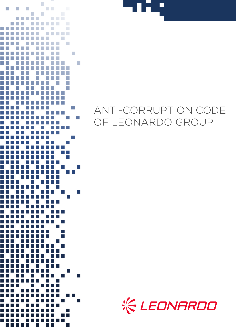



# ANTI-CORRUPTION CODE OF LEONARDO GROUP

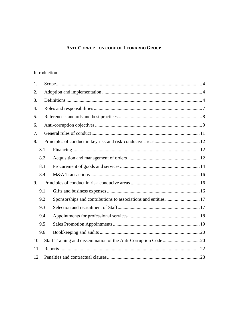# **ANTI-CORRUPTION CODE OF LEONARDO GROUP**

# Introduction

| 1.               |     |                                                                |  |  |
|------------------|-----|----------------------------------------------------------------|--|--|
| 2.               |     |                                                                |  |  |
| 3.               |     |                                                                |  |  |
| $\overline{4}$ . |     |                                                                |  |  |
| 5.               |     |                                                                |  |  |
| 6.               |     |                                                                |  |  |
| 7.               |     |                                                                |  |  |
| 8.               |     |                                                                |  |  |
|                  | 8.1 |                                                                |  |  |
|                  | 8.2 |                                                                |  |  |
|                  | 8.3 |                                                                |  |  |
|                  | 8.4 |                                                                |  |  |
| 9.               |     |                                                                |  |  |
|                  | 9.1 |                                                                |  |  |
|                  | 9.2 | Sponsorships and contributions to associations and entities 17 |  |  |
|                  | 9.3 |                                                                |  |  |
|                  | 9.4 |                                                                |  |  |
|                  | 9.5 |                                                                |  |  |
|                  | 9.6 |                                                                |  |  |
| 10.              |     |                                                                |  |  |
| 11.              |     |                                                                |  |  |
|                  | 12. |                                                                |  |  |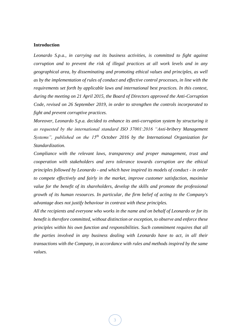#### <span id="page-2-0"></span>**Introduction**

*Leonardo S.p.a., in carrying out its business activities, is committed to fight against corruption and to prevent the risk of illegal practices at all work levels and in any geographical area, by disseminating and promoting ethical values and principles, as well as by the implementation of rules of conduct and effective control processes, in line with the requirements set forth by applicable laws and international best practices. In this context, during the meeting on 21 April 2015, the Board of Directors approved the Anti-Corruption Code, revised on 26 September 2019, in order to strengthen the controls incorporated to fight and prevent corruptive practices.* 

*Moreover, Leonardo S.p.a. decided to enhance its anti-corruption system by structuring it as requested by the international standard ISO 37001:2016 "Anti-bribery Management Systems", published on the 15th October 2016 by the International Organization for Standardization.*

*Compliance with the relevant laws, transparency and proper management, trust and cooperation with stakeholders and zero tolerance towards corruption are the ethical principles followed by Leonardo - and which have inspired its models of conduct - in order to compete effectively and fairly in the market, improve customer satisfaction, maximise*  value for the benefit of its shareholders, develop the skills and promote the professional *growth of its human resources. In particular, the firm belief of acting to the Company's advantage does not justify behaviour in contrast with these principles.*

*All the recipients and everyone who works in the name and on behalf of Leonardo or for its benefit is therefore committed, without distinction or exception, to observe and enforce these principles within his own function and responsibilities. Such commitment requires that all the parties involved in any business dealing with Leonardo have to act, in all their transactions with the Company, in accordance with rules and methods inspired by the same values.*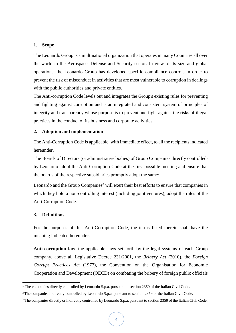## <span id="page-3-0"></span>**1. Scope**

The Leonardo Group is a multinational organization that operates in many Countries all over the world in the Aerospace, Defense and Security sector. In view of its size and global operations, the Leonardo Group has developed specific compliance controls in order to prevent the risk of misconduct in activities that are most vulnerable to corruption in dealings with the public authorities and private entities.

The Anti-corruption Code levels out and integrates the Group's existing rules for preventing and fighting against corruption and is an integrated and consistent system of principles of integrity and transparency whose purpose is to prevent and fight against the risks of illegal practices in the conduct of its business and corporate activities.

#### <span id="page-3-1"></span>**2. Adoption and implementation**

The Anti-Corruption Code is applicable, with immediate effect, to all the recipients indicated hereunder.

The Boards of Directors (or administrative bodies) of Group Companies directly controlled<sup>1</sup> by Leonardo adopt the Anti-Corruption Code at the first possible meeting and ensure that the boards of the respective subsidiaries promptly adopt the same<sup>2</sup>.

Leonardo and the Group Companies<sup>3</sup> will exert their best efforts to ensure that companies in which they hold a non-controlling interest (including joint ventures), adopt the rules of the Anti-Corruption Code.

## <span id="page-3-2"></span>**3. Definitions**

**.** 

For the purposes of this Anti-Corruption Code, the terms listed therein shall have the meaning indicated hereunder.

**Anti-corruption law**: the applicable laws set forth by the legal systems of each Group company, above all Legislative Decree 231/2001, the *Bribery Act* (2010), the *Foreign Corrupt Practices Act* (1977), the Convention on the Organisation for Economic Cooperation and Development (OECD) on combating the bribery of foreign public officials

<sup>&</sup>lt;sup>1</sup> The companies directly controlled by Leonardo S.p.a. pursuant to section 2359 of the Italian Civil Code.

<sup>&</sup>lt;sup>2</sup> The companies indirectly controlled by Leonardo S.p.a. pursuant to section 2359 of the Italian Civil Code.

<sup>&</sup>lt;sup>3</sup> The companies directly or indirectly controlled by Leonardo S.p.a. pursuant to section 2359 of the Italian Civil Code.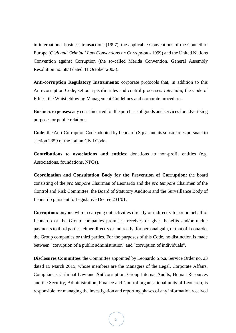in international business transactions (1997), the applicable Conventions of the Council of Europe *(Civil and Criminal Law Conventions on Corruption* - 1999) and the United Nations Convention against Corruption (the so-called Merida Convention, General Assembly Resolution no. 58/4 dated 31 October 2003).

**Anti-corruption Regulatory Instruments:** corporate protocols that, in addition to this Anti-corruption Code, set out specific rules and control processes. *Inter alia*, the Code of Ethics, the Whistleblowing Management Guidelines and corporate procedures.

**Business expenses:** any costs incurred for the purchase of goods and services for advertising purposes or public relations.

**Code:** the Anti-Corruption Code adopted by Leonardo S.p.a. and its subsidiaries pursuant to section 2359 of the Italian Civil Code.

**Contributions to associations and entities**: donations to non-profit entities (e.g. Associations, foundations, NPOs).

**Coordination and Consultation Body for the Prevention of Corruption**: the board consisting of the *pro tempore* Chairman of Leonardo and the *pro tempore* Chairmen of the Control and Risk Committee, the Board of Statutory Auditors and the Surveillance Body of Leonardo pursuant to Legislative Decree 231/01.

**Corruption:** anyone who in carrying out activities directly or indirectly for or on behalf of Leonardo or the Group companies promises, receives or gives benefits and/or undue payments to third parties, either directly or indirectly, for personal gain, or that of Leonardo, the Group companies or third parties. For the purposes of this Code, no distinction is made between "corruption of a public administration" and "corruption of individuals".

**Disclosures Committee**: the Committee appointed by Leonardo S.p.a. Service Order no. 23 dated 19 March 2015, whose members are the Managers of the Legal, Corporate Affairs, Compliance, Criminal Law and Anticorruption, Group Internal Audits, Human Resources and the Security, Administration, Finance and Control organisational units of Leonardo, is responsible for managing the investigation and reporting phases of any information received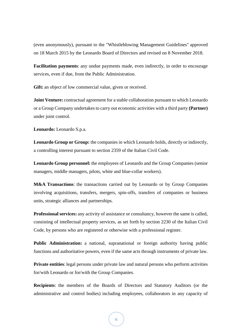(even anonymously), pursuant to the "Whistleblowing Management Guidelines" approved on 18 March 2015 by the Leonardo Board of Directors and revised on 8 November 2018.

**Facilitation payments**: any undue payments made, even indirectly, in order to encourage services, even if due, from the Public Administration.

**Gift:** an object of low commercial value, given or received.

**Joint Venture:** contractual agreement for a stable collaboration pursuant to which Leonardo or a Group Company undertakes to carry out economic activities with a third party **(Partner)** under joint control.

**Leonardo:** Leonardo S.p.a.

Leonardo Group or Group: the companies in which Leonardo holds, directly or indirectly, a controlling interest pursuant to section 2359 of the Italian Civil Code.

**Leonardo Group personnel:** the employees of Leonardo and the Group Companies (senior managers, middle managers, pilots, white and blue-collar workers).

**M&A Transactions**: the transactions carried out by Leonardo or by Group Companies involving acquisitions, transfers, mergers, spin-offs, transfers of companies or business units, strategic alliances and partnerships*.*

**Professional services:** any activity of assistance or consultancy, however the same is called, consisting of intellectual property services, as set forth by section 2230 of the Italian Civil Code, by persons who are registered or otherwise with a professional register.

**Public Administration:** a national, supranational or foreign authority having public functions and authoritative powers, even if the same acts through instruments of private law.

**Private entities**: legal persons under private law and natural persons who perform activities for/with Leonardo or for/with the Group Companies.

**Recipients**: the members of the Boards of Directors and Statutory Auditors (or the administrative and control bodies) including employees, collaborators in any capacity of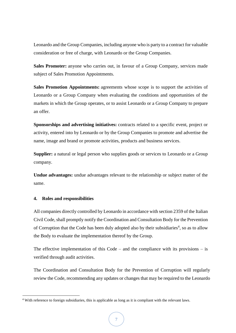Leonardo and the Group Companies, including anyone who is party to a contract for valuable consideration or free of charge, with Leonardo or the Group Companies.

**Sales Promoter:** anyone who carries out, in favour of a Group Company, services made subject of Sales Promotion Appointments.

**Sales Promotion Appointments:** agreements whose scope is to support the activities of Leonardo or a Group Company when evaluating the conditions and opportunities of the markets in which the Group operates, or to assist Leonardo or a Group Company to prepare an offer.

**Sponsorships and advertising initiatives:** contracts related to a specific event, project or activity, entered into by Leonardo or by the Group Companies to promote and advertise the name, image and brand or promote activities, products and business services.

**Supplier:** a natural or legal person who supplies goods or services to Leonardo or a Group company.

**Undue advantages:** undue advantages relevant to the relationship or subject matter of the same.

## <span id="page-6-0"></span>**4. Roles and responsibilities**

**.** 

All companies directly controlled by Leonardo in accordance with section 2359 of the Italian Civil Code, shall promptly notify the Coordination and Consultation Body for the Prevention of Corruption that the Code has been duly adopted also by their subsidiaries<sup>4</sup>, so as to allow the Body to evaluate the implementation thereof by the Group.

The effective implementation of this  $Code -$  and the compliance with its provisions  $-$  is verified through audit activities.

The Coordination and Consultation Body for the Prevention of Corruption will regularly review the Code, recommending any updates or changes that may be required to the Leonardo

<sup>4</sup> With reference to foreign subsidiaries, this is applicable as long as it is compliant with the relevant laws.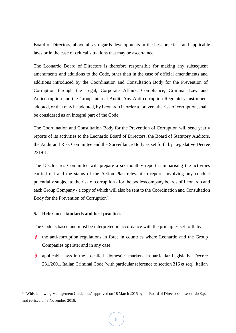Board of Directors, above all as regards developments in the best practices and applicable laws or in the case of critical situations that may be ascertained.

The Leonardo Board of Directors is therefore responsible for making any subsequent amendments and additions to the Code, other than in the case of official amendments and additions introduced by the Coordination and Consultation Body for the Prevention of Corruption through the Legal, Corporate Affairs, Compliance, Criminal Law and Anticorruption and the Group Internal Audit*.* Any Anti-corruption Regulatory Instrument adopted, or that may be adopted, by Leonardo in order to prevent the risk of corruption, shall be considered as an integral part of the Code.

The Coordination and Consultation Body for the Prevention of Corruption will send yearly reports of its activities to the Leonardo Board of Directors, the Board of Statutory Auditors, the Audit and Risk Committee and the Surveillance Body as set forth by Legislative Decree 231/01.

The Disclosures Committee will prepare a six-monthly report summarising the activities carried out and the status of the Action Plan relevant to reports involving any conduct potentially subject to the risk of corruption - for the bodies/company boards of Leonardo and each Group Company - a copy of which will also be sent to the Coordination and Consultation Body for the Prevention of Corruption<sup>5</sup>.

## <span id="page-7-0"></span>**5. Reference standards and best practices**

**.** 

The Code is based and must be interpreted in accordance with the principles set forth by:

- $\frac{1}{2}$ the anti-corruption regulations in force in countries where Leonardo and the Group Companies operate; and in any case;
- € applicable laws in the so-called "domestic" markets, in particular Legislative Decree 231/2001, Italian Criminal Code (with particular reference to section 316 et seq), Italian

<sup>5</sup> "Whistleblowing Management Guidelines" approved on 18 March 2015 by the Board of Directors of Leonardo S.p.a and revised on 8 November 2018.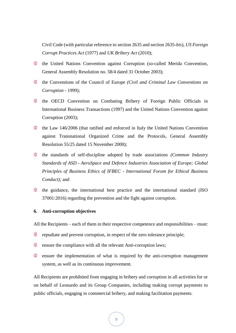Civil Code (with particular reference to section 2635 and section 2635-*bis*), *US Foreign Corrupt Practices Act* (1977) and *UK Bribery Act* (2010);

- **大门** the United Nations Convention against Corruption (so-called Merida Convention, General Assembly Resolution no. 58/4 dated 31 October 2003);
- 治 the Conventions of the Council of Europe *(Civil and Criminal Law Conventions on Corruption* - 1999);
- € the OECD Convention on Combating Bribery of Foreign Public Officials in International Business Transactions (1997) and the United Nations Convention against Corruption (2003);
- the Law 146/2006 (that ratified and enforced in Italy the United Nations Convention against Transnational Organized Crime and the Protocols, General Assembly Resolution 55/25 dated 15 November 2000);
- $\epsilon$ the standards of self-discipline adopted by trade associations *(Common Industry Standards of ASD - AeroSpace and Defence Industries Association of Europe; Global Principles of Business Ethics of IFBEC - International Forum for Ethical Business Conduct);* and
- the guidance, the international best practice and the international standard (ISO) 37001:2016) regarding the prevention and the fight against corruption.

# <span id="page-8-0"></span>**6. Anti-corruption objectives**

All the Recipients – each of them in their respective competence and responsibilities – must:

- € repudiate and prevent corruption, in respect of the zero tolerance principle;
- $\&$  ensure the compliance with all the relevant Anti-corruption laws;
- 治 ensure the implementation of what is required by the anti-corruption management system, as well as its continuous improvement.

All Recipients are prohibited from engaging in bribery and corruption in all activities for or on behalf of Leonardo and its Group Companies, including making corrupt payments to public officials, engaging in commercial bribery, and making facilitation payments.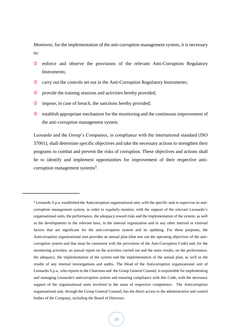Moreover, for the implementation of the anti-corruption management system, it is necessary to:

- 治 enforce and observe the provisions of the relevant Anti-Corruption Regulatory Instruments;
- 治 carry out the controls set out in the Anti-Corruption Regulatory Instruments;
- € provide the training sessions and activities hereby provided;
- € impose, in case of breach, the sanctions hereby provided;

1

长 establish appropriate mechanism for the monitoring and the continuous improvement of the anti-corruption management system.

Leonardo and the Group's Companies, in compliance with the international standard (ISO 37001), shall determine specific objectives and take the necessary actions to strengthen their programs to combat and prevent the risks of corruption. These objectives and actions shall be to identify and implement opportunities for improvement of their respective anticorruption management systems<sup>6</sup>.

<sup>6</sup> Leonardo S.p.a. established the Anticorruption organisational unit, with the specific task to supervise its anticorruption management system, in order to regularly monitor, with the support of the relevant Leonardo's organisational units, the performance, the adequacy toward risks and the implementation of the system, as well as the developments in the relevant laws, in the internal organization and in any other internal or external factors that are significant for the anti-corruption system and its updating. For these purposes, the Anticorruption organisational unit provides an annual plan (that sets out the operating objectives of the anticorruption system and that must be consistent with the provisions of the Anti-Corruption Code) and, for the monitoring activities, an annual report on the activities carried out and the main results, on the performance, the adequacy, the implementation of the system and the implementation of the annual plan, as well as the results of any internal investigations and audits. The Head of the Anticorruption organizational unit of Leonardo S.p.a., who reports to the Chairman and the Group General Counsel, is responsible for implementing and managing Leonardo's anticorruption system and ensuring compliance with this Code, with the necessary support of the organizational units involved in the areas of respective competence. The Anticorruption organisational unit, through the Group General Counsel, has the direct access to the administrative and control bodies of the Company, including the Board of Directors.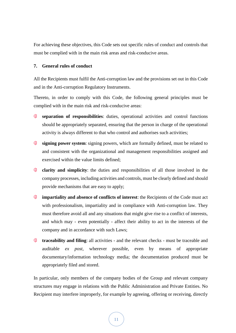For achieving these objectives, this Code sets out specific rules of conduct and controls that must be complied with in the main risk areas and risk-conducive areas.

## <span id="page-10-0"></span>**7. General rules of conduct**

All the Recipients must fulfil the Anti-corruption law and the provisions set out in this Code and in the Anti-corruption Regulatory Instruments.

Thereto, in order to comply with this Code, the following general principles must be complied with in the main risk and risk-conducive areas:

- € **separation of responsibilities**: duties, operational activities and control functions should be appropriately separated, ensuring that the person in charge of the operational activity is always different to that who control and authorises such activities;
- $\frac{1}{2}$ **signing power system**: signing powers, which are formally defined, must be related to and consistent with the organizational and management responsibilities assigned and exercised within the value limits defined;
- **clarity and simplicity**: the duties and responsibilities of all those involved in the company processes, including activities and controls, must be clearly defined and should provide mechanisms that are easy to apply;
- **impartiality and absence of conflicts of interest**: the Recipients of the Code must act with professionalism, impartiality and in compliance with Anti-corruption law. They must therefore avoid all and any situations that might give rise to a conflict of interests, and which may - even potentially - affect their ability to act in the interests of the company and in accordance with such Laws;
- **traceability and filing**: all activities and the relevant checks must be traceable and auditable *ex post,* wherever possible, even by means of appropriate documentary/information technology media; the documentation produced must be appropriately filed and stored.

In particular, only members of the company bodies of the Group and relevant company structures may engage in relations with the Public Administration and Private Entities. No Recipient may interfere improperly, for example by agreeing, offering or receiving, directly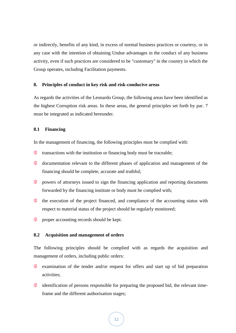or indirectly, benefits of any kind, in excess of normal business practices or courtesy, or in any case with the intention of obtaining Undue advantages in the conduct of any business activity, even if such practices are considered to be "customary" in the country in which the Group operates, including Facilitation payments.

## <span id="page-11-0"></span>**8. Principles of conduct in key risk and risk-conducive areas**

As regards the activities of the Leonardo Group, the following areas have been identified as the highest Corruption risk areas. In these areas, the general principles set forth by par. 7 must be integrated as indicated hereunder.

### <span id="page-11-1"></span>**8.1 Financing**

In the management of financing, the following principles must be complied with:

- € transactions with the institution or financing body must be traceable;
- € documentation relevant to the different phases of application and management of the financing should be complete, accurate and truthful;
- " powers of attorneys issued to sign the financing application and reporting documents forwarded by the financing institute or body must be complied with;
- € the execution of the project financed, and compliance of the accounting status with respect to material status of the project should be regularly monitored;
- 治 proper accounting records should be kept.

## <span id="page-11-2"></span>**8.2 Acquisition and management of orders**

The following principles should be complied with as regards the acquisition and management of orders, including public orders:

- € examination of the tender and/or request for offers and start up of bid preparation activities;
- € identification of persons responsible for preparing the proposed bid, the relevant timeframe and the different authorisation stages;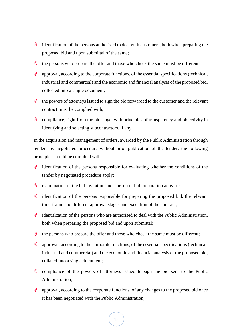- $\frac{1}{2}$  identification of the persons authorized to deal with customers, both when preparing the proposed bid and upon submittal of the same;
- **K** the persons who prepare the offer and those who check the same must be different;
- 冷 approval, according to the corporate functions, of the essential specifications (technical, industrial and commercial) and the economic and financial analysis of the proposed bid, collected into a single document;
- € the powers of attorneys issued to sign the bid forwarded to the customer and the relevant contract must be complied with;
- $\&$  compliance, right from the bid stage, with principles of transparency and objectivity in identifying and selecting subcontractors, if any.

In the acquisition and management of orders, awarded by the Public Administration through tenders by negotiated procedure without prior publication of the tender, the following principles should be complied with:

- 泠 identification of the persons responsible for evaluating whether the conditions of the tender by negotiated procedure apply;
- $\ast \bullet$  examination of the bid invitation and start up of bid preparation activities;
- ∜ identification of the persons responsible for preparing the proposed bid, the relevant time-frame and different approval stages and execution of the contract;
- 浴 identification of the persons who are authorised to deal with the Public Administration, both when preparing the proposed bid and upon submittal;
- $\frac{1}{2}$ the persons who prepare the offer and those who check the same must be different;
- 浴 approval, according to the corporate functions, of the essential specifications (technical, industrial and commercial) and the economic and financial analysis of the proposed bid, collated into a single document;
- 添 compliance of the powers of attorneys issued to sign the bid sent to the Public Administration;
- € approval, according to the corporate functions, of any changes to the proposed bid once it has been negotiated with the Public Administration;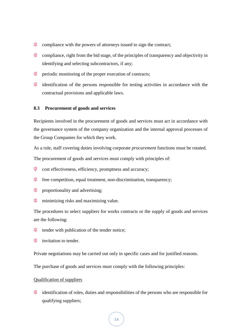- € compliance with the powers of attorneys issued to sign the contract;
- 杀 compliance, right from the bid stage, of the principles of transparency and objectivity in identifying and selecting subcontractors, if any;
- € periodic monitoring of the proper execution of contracts;
- $\ddot{\epsilon}$  identification of the persons responsible for testing activities in accordance with the contractual provisions and applicable laws.

#### <span id="page-13-0"></span>**8.3 Procurement of goods and services**

Recipients involved in the procurement of goods and services must act in accordance with the governance system of the company organization and the internal approval processes of the Group Companies for which they work.

As a rule, staff covering duties involving corporate *procurement* functions must be rotated. The procurement of goods and services must comply with principles of:

- € cost effectiveness, efficiency, promptness and accuracy;
- ∜ free competition, equal treatment, non-discrimination, transparency;
- € proportionality and advertising;
- 治 minimizing risks and maximizing value.

The procedures to select suppliers for works contracts or the supply of goods and services are the following:

- € tender with publication of the tender notice;
- 治 invitation to tender.

Private negotiations may be carried out only in specific cases and for justified reasons.

The purchase of goods and services must comply with the following principles:

#### Qualification of suppliers

€ identification of roles, duties and responsibilities of the persons who are responsible for qualifying suppliers;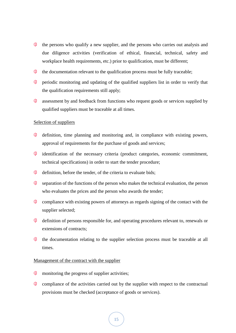- $\frac{1}{2}$ the persons who qualify a new supplier, and the persons who carries out analysis and due diligence activities (verification of ethical, financial, technical, safety and workplace health requirements, etc.) prior to qualification, must be different;
- Ť the documentation relevant to the qualification process must be fully traceable;
- € periodic monitoring and updating of the qualified suppliers list in order to verify that the qualification requirements still apply;
- € assessment by and feedback from functions who request goods or services supplied by qualified suppliers must be traceable at all times.

#### Selection of suppliers

- € definition, time planning and monitoring and, in compliance with existing powers, approval of requirements for the purchase of goods and services;
- identification of the necessary criteria (product categories, economic commitment, technical specifications) in order to start the tender procedure;
- 《 definition, before the tender, of the criteria to evaluate bids;
- ∜ separation of the functions of the person who makes the technical evaluation, the person who evaluates the prices and the person who awards the tender;
- € compliance with existing powers of attorneys as regards signing of the contact with the supplier selected;
- 浴 definition of persons responsible for, and operating procedures relevant to, renewals or extensions of contracts;
- " the documentation relating to the supplier selection process must be traceable at all times.

#### Management of the contract with the supplier

- $\frac{1}{\sqrt{2}}$ monitoring the progress of supplier activities;
- $\frac{1}{2}$ compliance of the activities carried out by the supplier with respect to the contractual provisions must be checked (acceptance of goods or services).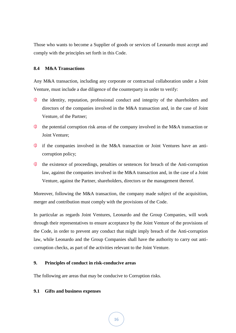Those who wants to become a Supplier of goods or services of Leonardo must accept and comply with the principles set forth in this Code.

## <span id="page-15-0"></span>**8.4 M&A Transactions**

Any M&A transaction, including any corporate or contractual collaboration under a Joint Venture*,* must include a due diligence of the counterparty in order to verify:

- € the identity, reputation, professional conduct and integrity of the shareholders and directors of the companies involved in the M&A transaction and, in the case of Joint Venture*,* of the Partner;
- the potential corruption risk areas of the company involved in the M&A transaction or Joint Venture;
- if the companies involved in the M&A transaction or Joint Ventures have an anticorruption policy;
- the existence of proceedings, penalties or sentences for breach of the Anti-corruption law, against the companies involved in the M&A transaction and, in the case of a Joint Venture*,* against the Partner, shareholders, directors or the management thereof.

Moreover, following the M&A transaction, the company made subject of the acquisition, merger and contribution must comply with the provisions of the Code.

In particular as regards Joint Ventures*,* Leonardo and the Group Companies, will work through their representatives to ensure acceptance by the Joint Venture of the provisions of the Code, in order to prevent any conduct that might imply breach of the Anti-corruption law, while Leonardo and the Group Companies shall have the authority to carry out anticorruption checks, as part of the activities relevant to the Joint Venture.

# <span id="page-15-1"></span>**9. Principles of conduct in risk-conducive areas**

The following are areas that may be conducive to Corruption risks.

## <span id="page-15-2"></span>**9.1 Gifts and business expenses**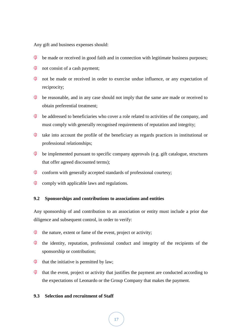Any gift and business expenses should:

- $\frac{1}{\sqrt{2}}$ be made or received in good faith and in connection with legitimate business purposes;
- $\frac{1}{2}$  not consist of a cash payment;
- 《 not be made or received in order to exercise undue influence, or any expectation of reciprocity;
- $\epsilon$  be reasonable, and in any case should not imply that the same are made or received to obtain preferential treatment;
- 浴 be addressed to beneficiaries who cover a role related to activities of the company, and must comply with generally recognised requirements of reputation and integrity;
- € take into account the profile of the beneficiary as regards practices in institutional or professional relationships;
- $\epsilon$  be implemented pursuant to specific company approvals (e.g. gift catalogue, structures that offer agreed discounted terms);
- $\text{\textcircled{*}}$  conform with generally accepted standards of professional courtesy;
- $\frac{1}{\sqrt{2}}$ comply with applicable laws and regulations.

# <span id="page-16-0"></span>**9.2 Sponsorships and contributions to associations and entities**

Any sponsorship of and contribution to an association or entity must include a prior due diligence and subsequent control, in order to verify:

- 泠 the nature, extent or fame of the event, project or activity;
- 治 the identity, reputation, professional conduct and integrity of the recipients of the sponsorship or contribution;
- that the initiative is permitted by law;
- 治 that the event, project or activity that justifies the payment are conducted according to the expectations of Leonardo or the Group Company that makes the payment.

## <span id="page-16-1"></span>**9.3 Selection and recruitment of Staff**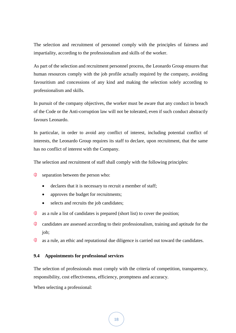The selection and recruitment of personnel comply with the principles of fairness and impartiality, according to the professionalism and skills of the worker.

As part of the selection and recruitment personnel process, the Leonardo Group ensures that human resources comply with the job profile actually required by the company, avoiding favouritism and concessions of any kind and making the selection solely according to professionalism and skills.

In pursuit of the company objectives, the worker must be aware that any conduct in breach of the Code or the Anti-corruption law will not be tolerated, even if such conduct abstractly favours Leonardo.

In particular, in order to avoid any conflict of interest, including potential conflict of interests, the Leonardo Group requires its staff to declare, upon recruitment, that the same has no conflict of interest with the Company.

The selection and recruitment of staff shall comply with the following principles:

- € separation between the person who:
	- declares that it is necessary to recruit a member of staff;
	- approves the budget for recruitments;
	- selects and recruits the job candidates;
- $\frac{1}{2}$  as a rule a list of candidates is prepared (short list) to cover the position;
- 杀 candidates are assessed according to their professionalism, training and aptitude for the job;
- ▓ as a rule, an ethic and reputational due diligence is carried out toward the candidates.

## <span id="page-17-0"></span>**9.4 Appointments for professional services**

The selection of professionals must comply with the criteria of competition, transparency, responsibility, cost effectiveness, efficiency, promptness and accuracy.

When selecting a professional: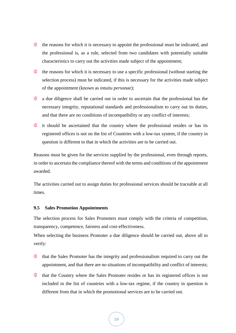- the reasons for which it is necessary to appoint the professional must be indicated, and the professional is, as a rule, selected from two candidates with potentially suitable characteristics to carry out the activities made subject of the appointment;
- 冷 the reasons for which it is necessary to use a specific professional (without starting the selection process) must be indicated, if this is necessary for the activities made subject of the appointment (known as *intuitu personae*);
- " a due diligence shall be carried out in order to ascertain that the professional has the necessary integrity, reputational standards and professionalism to carry out its duties, and that there are no conditions of incompatibility or any conflict of interests;
- " it should be ascertained that the country where the professional resides or has its registered offices is not on the list of Countries with a low-tax system, if the country in question is different to that in which the activities are to be carried out.

Reasons must be given for the services supplied by the professional, even through reports, in order to ascertain the compliance thereof with the terms and conditions of the appointment awarded.

The activities carried out to assign duties for professional services should be traceable at all times.

## <span id="page-18-0"></span>**9.5 Sales Promotion Appointments**

The selection process for Sales Promoters must comply with the criteria of competition, transparency, competence, fairness and cost-effectiveness.

When selecting the business Promoter a due diligence should be carried out, above all to verify:

- € that the Sales Promoter has the integrity and professionalism required to carry out the appointment, and that there are no situations of incompatibility and conflict of interests;
- that the Country where the Sales Promoter resides or has its registered offices is not included in the list of countries with a low-tax regime, if the country in question is different from that in which the promotional services are to be carried out.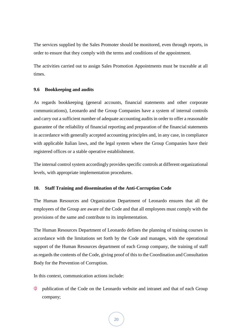The services supplied by the Sales Promoter should be monitored, even through reports, in order to ensure that they comply with the terms and conditions of the appointment.

The activities carried out to assign Sales Promotion Appointments must be traceable at all times.

## <span id="page-19-0"></span>**9.6 Bookkeeping and audits**

As regards bookkeeping (general accounts, financial statements and other corporate communications), Leonardo and the Group Companies have a system of internal controls and carry out a sufficient number of adequate accounting audits in order to offer a reasonable guarantee of the reliability of financial reporting and preparation of the financial statements in accordance with generally accepted accounting principles and, in any case, in compliance with applicable Italian laws, and the legal system where the Group Companies have their registered offices or a stable operative establishment.

The internal control system accordingly provides specific controls at different organizational levels, with appropriate implementation procedures.

# <span id="page-19-1"></span>**10. Staff Training and dissemination of the Anti-Corruption Code**

The Human Resources and Organization Department of Leonardo ensures that all the employees of the Group are aware of the Code and that all employees must comply with the provisions of the same and contribute to its implementation.

The Human Resources Department of Leonardo defines the planning of training courses in accordance with the limitations set forth by the Code and manages, with the operational support of the Human Resources department of each Group company, the training of staff as regards the contents of the Code, giving proof of this to the Coordination and Consultation Body for the Prevention of Corruption.

In this context, communication actions include:

泠 publication of the Code on the Leonardo website and intranet and that of each Group company;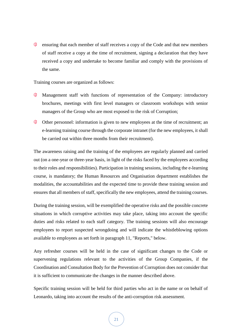Extensively ensuring that each member of staff receives a copy of the Code and that new members of staff receive a copy at the time of recruitment, signing a declaration that they have received a copy and undertake to become familiar and comply with the provisions of the same.

Training courses are organized as follows:

- € Management staff with functions of representation of the Company: introductory brochures*,* meetings with first level managers or classroom workshops with senior managers of the Group who are most exposed to the risk of Corruption;
- Other personnel: information is given to new employees at the time of recruitment; an e-learning training course through the corporate intranet (for the new employees, it shall be carried out within three months from their recruitment).

The awareness raising and the training of the employees are regularly planned and carried out (on a one-year or three-year basis, in light of the risks faced by the employees according to their roles and responsibilities). Participation in training sessions, including the e-learning course, is mandatory; the Human Resources and Organisation department establishes the modalities, the accountabilities and the expected time to provide these training session and ensures that all members of staff, specifically the new employees, attend the training courses.

During the training session, will be exemplified the operative risks and the possible concrete situations in which corruptive activities may take place, taking into account the specific duties and risks related to each staff category. The training sessions will also encourage employees to report suspected wrongdoing and will indicate the whistleblowing options available to employees as set forth in paragraph 11, "Reports," below.

Any refresher courses will be held in the case of significant changes to the Code or supervening regulations relevant to the activities of the Group Companies, if the Coordination and Consultation Body for the Prevention of Corruption does not consider that it is sufficient to communicate the changes in the manner described above.

Specific training session will be held for third parties who act in the name or on behalf of Leonardo, taking into account the results of the anti-corruption risk assessment.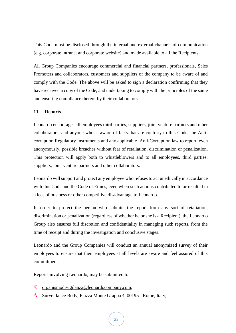This Code must be disclosed through the internal and external channels of communication (e.g. corporate intranet and corporate website) and made available to all the Recipients.

All Group Companies encourage commercial and financial partners, professionals, Sales Promoters and collaborators, customers and suppliers of the company to be aware of and comply with the Code. The above will be asked to sign a declaration confirming that they have received a copy of the Code, and undertaking to comply with the principles of the same and ensuring compliance thereof by their collaborators.

## <span id="page-21-0"></span>**11. Reports**

Leonardo encourages all employees third parties, suppliers, joint venture partners and other collaborators, and anyone who is aware of facts that are contrary to this Code, the Anticorruption Regulatory Instruments and any applicable Anti-Corruption law to report, even anonymously, possible breaches without fear of retaliation, discrimination or penalization. This protection will apply both to whistleblowers and to all employees, third parties, suppliers, joint venture partners and other collaborators.

Leonardo will support and protect any employee who refuses to act unethically in accordance with this Code and the Code of Ethics, even when such actions contributed to or resulted in a loss of business or other competitive disadvantage to Leonardo.

In order to protect the person who submits the report from any sort of retaliation, discrimination or penalization (regardless of whether he or she is a Recipient), the Leonardo Group also ensures full discretion and confidentiality in managing such reports, from the time of receipt and during the investigation and conclusive stages.

Leonardo and the Group Companies will conduct an annual anonymized survey of their employees to ensure that their employees at all levels are aware and feel assured of this commitment.

Reports involving Leonardo, may be submitted to:

- " organismodivigilanza@leonardocompany.com;
- € Surveillance Body, Piazza Monte Grappa 4, 00195 - Rome, Italy;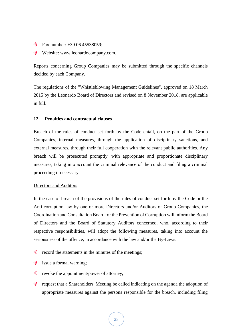- **Fax number:**  $+390645538059$ ;
- Website: www.leonardocompany.com.

Reports concerning Group Companies may be submitted through the specific channels decided by each Company.

The regulations of the "Whistleblowing Management Guidelines", approved on 18 March 2015 by the Leonardo Board of Directors and revised on 8 November 2018, are applicable in full.

## <span id="page-22-0"></span>**12. Penalties and contractual clauses**

Breach of the rules of conduct set forth by the Code entail, on the part of the Group Companies, internal measures, through the application of disciplinary sanctions, and external measures, through their full cooperation with the relevant public authorities. Any breach will be prosecuted promptly, with appropriate and proportionate disciplinary measures, taking into account the criminal relevance of the conduct and filing a criminal proceeding if necessary.

## Directors and Auditors

In the case of breach of the provisions of the rules of conduct set forth by the Code or the Anti-corruption law by one or more Directors and/or Auditors of Group Companies, the Coordination and Consultation Board for the Prevention of Corruption will inform the Board of Directors and the Board of Statutory Auditors concerned, who, according to their respective responsibilities, will adopt the following measures, taking into account the seriousness of the offence, in accordance with the law and/or the By-Laws:

- € record the statements in the minutes of the meetings;
- $\frac{1}{6}$  issue a formal warning;
- $\text{\textcircled{F}}$  revoke the appointment/power of attorney;
- € request that a Shareholders' Meeting be called indicating on the agenda the adoption of appropriate measures against the persons responsible for the breach, including filing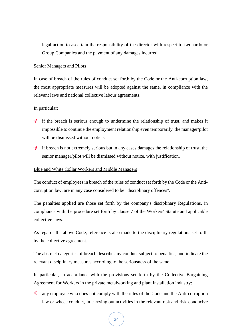legal action to ascertain the responsibility of the director with respect to Leonardo or Group Companies and the payment of any damages incurred.

#### Senior Managers and Pilots

In case of breach of the rules of conduct set forth by the Code or the Anti-corruption law, the most appropriate measures will be adopted against the same, in compliance with the relevant laws and national collective labour agreements.

#### In particular:

- € if the breach is serious enough to undermine the relationship of trust, and makes it impossible to continue the employment relationship even temporarily, the manager/pilot will be dismissed without notice:
- " if breach is not extremely serious but in any cases damages the relationship of trust, the senior manager/pilot will be dismissed without notice, with justification.

#### Blue and White Collar Workers and Middle Managers

The conduct of employees in breach of the rules of conduct set forth by the Code or the Anticorruption law, are in any case considered to be "disciplinary offences".

The penalties applied are those set forth by the company's disciplinary Regulations, in compliance with the procedure set forth by clause 7 of the Workers' Statute and applicable collective laws.

As regards the above Code, reference is also made to the disciplinary regulations set forth by the collective agreement.

The abstract categories of breach describe any conduct subject to penalties, and indicate the relevant disciplinary measures according to the seriousness of the same.

In particular, in accordance with the provisions set forth by the Collective Bargaining Agreement for Workers in the private metalworking and plant installation industry:

any employee who does not comply with the rules of the Code and the Anti-corruption law or whose conduct, in carrying out activities in the relevant risk and risk-conducive